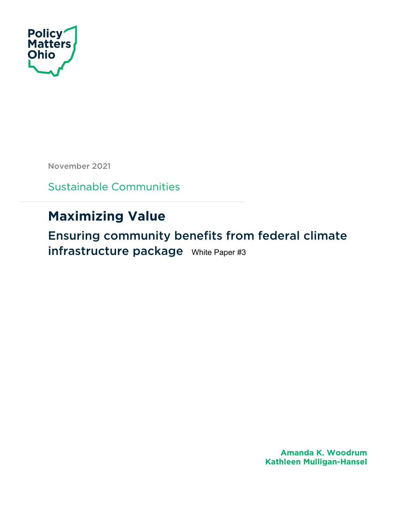

November 2021

Sustainable Communities

# **Maximizing Value**

Ensuring community benefits from federal climate infrastructure package White Paper #3

> **Amanda K. Woodrum Kathleen Mulligan-Hansel**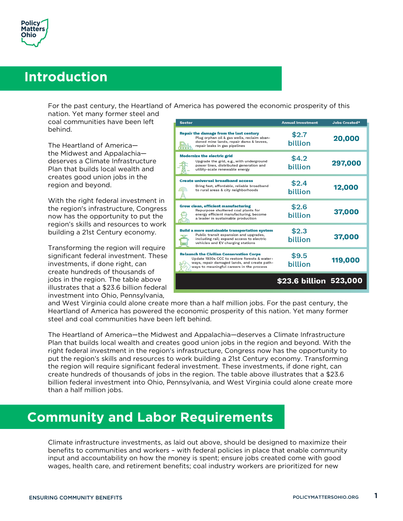

### **Introduction**

For the past century, the Heartland of America has powered the economic prosperity of this

nation. Yet many former steel and coal communities have been left behind.

The Heartland of America the Midwest and Appalachia deserves a Climate Infrastructure Plan that builds local wealth and creates good union jobs in the region and beyond.

With the right federal investment in the region's infrastructure, Congress now has the opportunity to put the region's skills and resources to work building a 21st Century economy.

Transforming the region will require significant federal investment. These investments, if done right, can create hundreds of thousands of jobs in the region. The table above illustrates that a \$23.6 billion federal investment into Ohio, Pennsylvania,

| <b>Sector</b>                                                                                                                                                                                | <b>Annual Investment</b> | Jobs Created* |
|----------------------------------------------------------------------------------------------------------------------------------------------------------------------------------------------|--------------------------|---------------|
| Repair the damage from the last century<br>Plug orphan oil & gas wells, reclaim aban-<br>doned mine lands, repair dams & levees,<br>repair leaks in gas pipelines                            | \$2.7<br>billion         | 20,000        |
| <b>Modernize the electric grid</b><br>Upgrade the grid, e.g., with underground<br>power lines, distributed generation and<br>utility-scale renewable energy                                  | \$4.2<br>billion         | 297,000       |
| <b>Create universal broadband access</b><br>Bring fast, affordable, reliable broadband<br>to rural areas & city neighborhoods                                                                | \$2.4<br>billion         | 12,000        |
| <b>Grow clean, efficient manufacturing</b><br>Repurpose shuttered coal plants for<br>energy efficient manufacturing, become<br>a leader in sustainable production                            | \$2.6<br>billion         | 37,000        |
| <b>Build a more sustainable transportation system</b><br>Public transit expansion and upgrades,<br>including rail; expand access to electric<br>vehicles and EV charging stations            | \$2.3<br>billion         | 37,000        |
| <b>Relaunch the Civilian Conservation Corps</b><br>Update 1930s CCC to restore forests & water-<br>ways, repair damaged lands, and create path-<br>ways to meaningful careers in the process | \$9.5<br>billion         | 119,000       |
|                                                                                                                                                                                              | \$23.6 billion 523,000   |               |

and West Virginia could alone create more than a half million jobs. For the past century, the Heartland of America has powered the economic prosperity of this nation. Yet many former steel and coal communities have been left behind.

The Heartland of America—the Midwest and Appalachia—deserves a Climate Infrastructure Plan that builds local wealth and creates good union jobs in the region and beyond. With the right federal investment in the region's infrastructure, Congress now has the opportunity to put the region's skills and resources to work building a 21st Century economy. Transforming the region will require significant federal investment. These investments, if done right, can create hundreds of thousands of jobs in the region. The table above illustrates that a \$23.6 billion federal investment into Ohio, Pennsylvania, and West Virginia could alone create more than a half million jobs.

### **Community and Labor Requirements**

Climate infrastructure investments, as laid out above, should be designed to maximize their benefits to communities and workers – with federal policies in place that enable community input and accountability on how the money is spent; ensure jobs created come with good wages, health care, and retirement benefits; coal industry workers are prioritized for new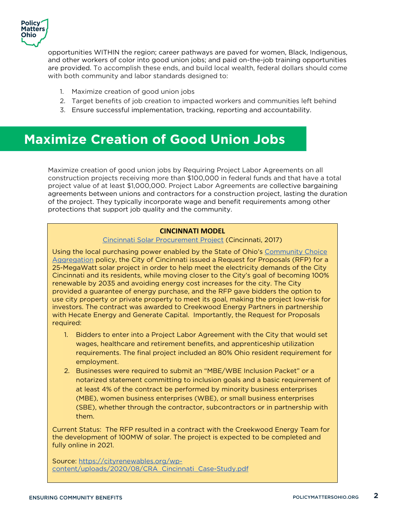

opportunities WITHIN the region; career pathways are paved for women, Black, Indigenous, and other workers of color into good union jobs; and paid on-the-job training opportunities are provided. To accomplish these ends, and build local wealth, federal dollars should come with both community and labor standards designed to:

- 1. Maximize creation of good union jobs
- 2. Target benefits of job creation to impacted workers and communities left behind
- 3. Ensure successful implementation, tracking, reporting and accountability.

### **Maximize Creation of Good Union Jobs**

Maximize creation of good union jobs by Requiring Project Labor Agreements on all construction projects receiving more than \$100,000 in federal funds and that have a total project value of at least \$1,000,000. Project Labor Agreements are collective bargaining agreements between unions and contractors for a construction project, lasting the duration of the project. They typically incorporate wage and benefit requirements among other protections that support job quality and the community.

#### **CINCINNATI MODEL**

#### Cincinnati Solar Procurement Project (Cincinnati, 2017)

Using the local purchasing power enabled by the State of Ohio's Community Choice Aggregation policy, the City of Cincinnati issued a Request for Proposals (RFP) for a 25-MegaWatt solar project in order to help meet the electricity demands of the City Cincinnati and its residents, while moving closer to the City's goal of becoming 100% renewable by 2035 and avoiding energy cost increases for the city. The City provided a guarantee of energy purchase, and the RFP gave bidders the option to use city property or private property to meet its goal, making the project low-risk for investors. The contract was awarded to Creekwood Energy Partners in partnership with Hecate Energy and Generate Capital. Importantly, the Request for Proposals required:

- 1. Bidders to enter into a Project Labor Agreement with the City that would set wages, healthcare and retirement benefits, and apprenticeship utilization requirements. The final project included an 80% Ohio resident requirement for employment.
- 2. Businesses were required to submit an "MBE/WBE Inclusion Packet" or a notarized statement committing to inclusion goals and a basic requirement of at least 4% of the contract be performed by minority business enterprises (MBE), women business enterprises (WBE), or small business enterprises (SBE), whether through the contractor, subcontractors or in partnership with them.

Current Status: The RFP resulted in a contract with the Creekwood Energy Team for the development of 100MW of solar. The project is expected to be completed and fully online in 2021.

Source: https://cityrenewables.org/wpcontent/uploads/2020/08/CRA\_Cincinnati\_Case-Study.pdf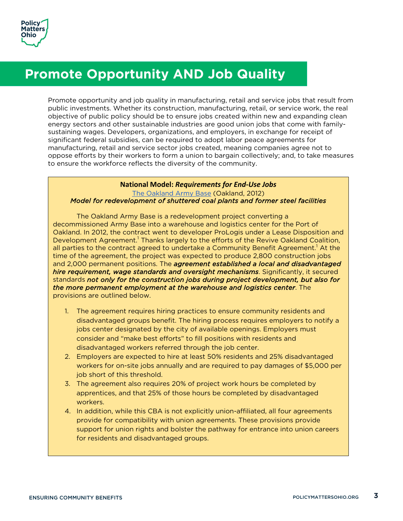

## **Promote Opportunity AND Job Quality**

Promote opportunity and job quality in manufacturing, retail and service jobs that result from public investments. Whether its construction, manufacturing, retail, or service work, the real objective of public policy should be to ensure jobs created within new and expanding clean energy sectors and other sustainable industries are good union jobs that come with familysustaining wages. Developers, organizations, and employers, in exchange for receipt of significant federal subsidies, can be required to adopt labor peace agreements for manufacturing, retail and service sector jobs created, meaning companies agree not to oppose efforts by their workers to form a union to bargain collectively; and, to take measures to ensure the workforce reflects the diversity of the community.

#### **National Model:** *Requirements for End-Use Jobs* The Oakland Army Base (Oakland, 2012) *Model for redevelopment of shuttered coal plants and former steel facilities*

The Oakland Army Base is a redevelopment project converting a decommissioned Army Base into a warehouse and logistics center for the Port of Oakland. In 2012, the contract went to developer ProLogis under a Lease Disposition and Development Agreement.<sup>1</sup> Thanks largely to the efforts of the Revive Oakland Coalition, all parties to the contract agreed to undertake a Community Benefit Agreement.<sup>1</sup> At the time of the agreement, the project was expected to produce 2,800 construction jobs and 2,000 permanent positions. The *agreement established a local and disadvantaged hire requirement, wage standards and oversight mechanisms*. Significantly, it secured standards *not only for the construction jobs during project development, but also for the more permanent employment at the warehouse and logistics center*. The provisions are outlined below.

- 1. The agreement requires hiring practices to ensure community residents and disadvantaged groups benefit. The hiring process requires employers to notify a jobs center designated by the city of available openings. Employers must consider and "make best efforts" to fill positions with residents and disadvantaged workers referred through the job center.
- 2. Employers are expected to hire at least 50% residents and 25% disadvantaged workers for on-site jobs annually and are required to pay damages of \$5,000 per job short of this threshold.
- 3. The agreement also requires 20% of project work hours be completed by apprentices, and that 25% of those hours be completed by disadvantaged workers.
- 4. In addition, while this CBA is not explicitly union-affiliated, all four agreements provide for compatibility with union agreements. These provisions provide support for union rights and bolster the pathway for entrance into union careers for residents and disadvantaged groups.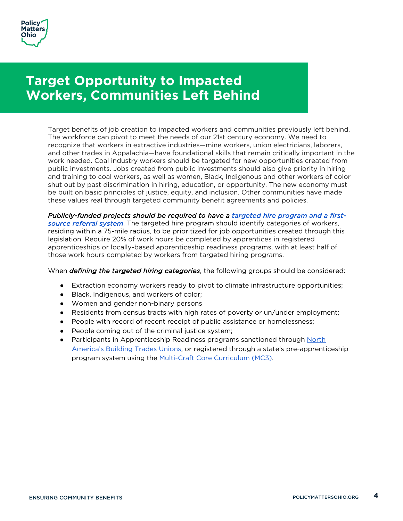

## **Target Opportunity to Impacted Workers, Communities Left Behind**

Target benefits of job creation to impacted workers and communities previously left behind. The workforce can pivot to meet the needs of our 21st century economy. We need to recognize that workers in extractive industries—mine workers, union electricians, laborers, and other trades in Appalachia—have foundational skills that remain critically important in the work needed. Coal industry workers should be targeted for new opportunities created from public investments. Jobs created from public investments should also give priority in hiring and training to coal workers, as well as women, Black, Indigenous and other workers of color shut out by past discrimination in hiring, education, or opportunity. The new economy must be built on basic principles of justice, equity, and inclusion. Other communities have made these values real through targeted community benefit agreements and policies.

*Publicly-funded projects should be required to have a targeted hire program and a firstsource referral system*. The targeted hire program should identify categories of workers, residing within a 75-mile radius, to be prioritized for job opportunities created through this legislation. Require 20% of work hours be completed by apprentices in registered apprenticeships or locally-based apprenticeship readiness programs, with at least half of those work hours completed by workers from targeted hiring programs.

When *defining the targeted hiring categories*, the following groups should be considered:

- Extraction economy workers ready to pivot to climate infrastructure opportunities;
- Black, Indigenous, and workers of color;
- Women and gender non-binary persons
- Residents from census tracts with high rates of poverty or un/under employment;
- People with record of recent receipt of public assistance or homelessness;
- People coming out of the criminal justice system;
- Participants in Apprenticeship Readiness programs sanctioned through North America's Building Trades Unions, or registered through a state's pre-apprenticeship program system using the Multi-Craft Core Curriculum (MC3).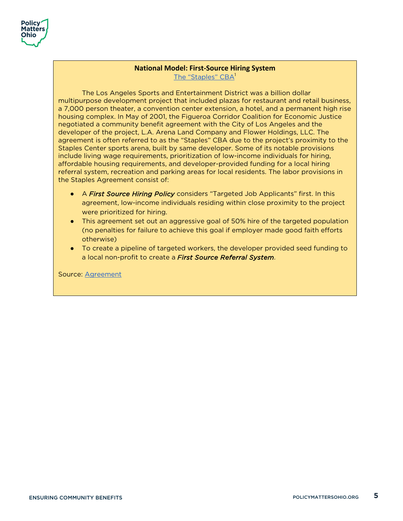

#### **National Model: First-Source Hiring System** The "Staples" CBA<sup>1</sup>

The Los Angeles Sports and Entertainment District was a billion dollar multipurpose development project that included plazas for restaurant and retail business, a 7,000 person theater, a convention center extension, a hotel, and a permanent high rise housing complex. In May of 2001, the Figueroa Corridor Coalition for Economic Justice negotiated a community benefit agreement with the City of Los Angeles and the developer of the project, L.A. Arena Land Company and Flower Holdings, LLC. The agreement is often referred to as the "Staples" CBA due to the project's proximity to the Staples Center sports arena, built by same developer. Some of its notable provisions include living wage requirements, prioritization of low-income individuals for hiring, affordable housing requirements, and developer-provided funding for a local hiring referral system, recreation and parking areas for local residents. The labor provisions in the Staples Agreement consist of:

- A *First Source Hiring Policy* considers "Targeted Job Applicants" first. In this agreement, low-income individuals residing within close proximity to the project were prioritized for hiring.
- This agreement set out an aggressive goal of 50% hire of the targeted population (no penalties for failure to achieve this goal if employer made good faith efforts otherwise)
- To create a pipeline of targeted workers, the developer provided seed funding to a local non-profit to create a *First Source Referral System*.

Source: Agreement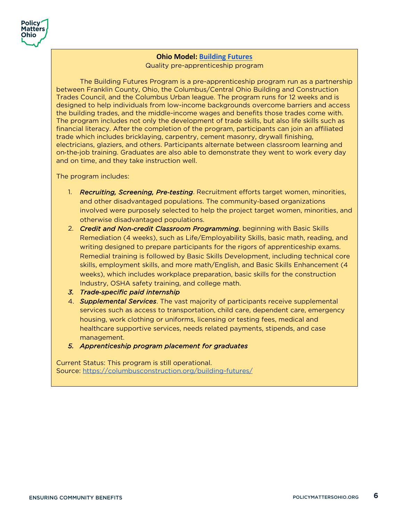

### **Ohio Model: Building Futures** Quality pre-apprenticeship program

The Building Futures Program is a pre-apprenticeship program run as a partnership between Franklin County, Ohio, the Columbus/Central Ohio Building and Construction Trades Council, and the Columbus Urban league. The program runs for 12 weeks and is designed to help individuals from low-income backgrounds overcome barriers and access the building trades, and the middle-income wages and benefits those trades come with. The program includes not only the development of trade skills, but also life skills such as financial literacy. After the completion of the program, participants can join an affiliated trade which includes bricklaying, carpentry, cement masonry, drywall finishing, electricians, glaziers, and others. Participants alternate between classroom learning and on-the-job training. Graduates are also able to demonstrate they went to work every day and on time, and they take instruction well.

The program includes:

- 1. *Recruiting, Screening, Pre*-*testing*. Recruitment efforts target women, minorities, and other disadvantaged populations. The community-based organizations involved were purposely selected to help the project target women, minorities, and otherwise disadvantaged populations.
- 2. *Credit and Non*-*credit Classroom Programming*, beginning with Basic Skills Remediation (4 weeks), such as Life/Employability Skills, basic math, reading, and writing designed to prepare participants for the rigors of apprenticeship exams. Remedial training is followed by Basic Skills Development, including technical core skills, employment skills, and more math/English, and Basic Skills Enhancement (4 weeks), which includes workplace preparation, basic skills for the construction Industry, OSHA safety training, and college math.
- *3. Trade*-*specific paid internship*
- 4. *Supplemental Services*. The vast majority of participants receive supplemental services such as access to transportation, child care, dependent care, emergency housing, work clothing or uniforms, licensing or testing fees, medical and healthcare supportive services, needs related payments, stipends, and case management.
- *5. Apprenticeship program placement for graduates*

Current Status: This program is still operational. Source: https://columbusconstruction.org/building-futures/